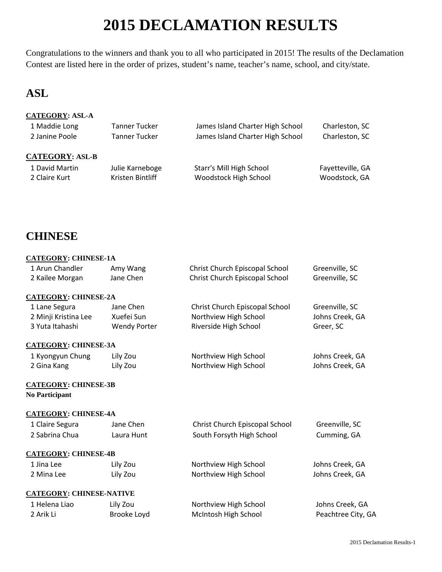## **2015 DECLAMATION RESULTS**

Congratulations to the winners and thank you to all who participated in 2015! The results of the Declamation Contest are listed here in the order of prizes, student's name, teacher's name, school, and city/state.

### **ASL**

### **CATEGORY: ASL-A**

| 1 Maddie Long          | <b>Tanner Tucker</b> | James Island Charter High School | Charleston, SC   |
|------------------------|----------------------|----------------------------------|------------------|
| 2 Janine Poole         | <b>Tanner Tucker</b> | James Island Charter High School | Charleston, SC   |
|                        |                      |                                  |                  |
| <b>CATEGORY: ASL-B</b> |                      |                                  |                  |
| 1 David Martin         | Julie Karneboge      | Starr's Mill High School         | Fayetteville, GA |
| 2 Claire Kurt          | Kristen Bintliff     | Woodstock High School            | Woodstock, GA    |
|                        |                      |                                  |                  |

### **CHINESE**

### **CATEGORY: CHINESE-1A**

| 1 Arun Chandler                 | Amy Wang            | Christ Church Episcopal School | Greenville, SC     |
|---------------------------------|---------------------|--------------------------------|--------------------|
| 2 Kailee Morgan                 | Jane Chen           | Christ Church Episcopal School | Greenville, SC     |
| <b>CATEGORY: CHINESE-2A</b>     |                     |                                |                    |
| 1 Lane Segura                   | Jane Chen           | Christ Church Episcopal School | Greenville, SC     |
| 2 Minji Kristina Lee            | Xuefei Sun          | Northview High School          | Johns Creek, GA    |
| 3 Yuta Itahashi                 | <b>Wendy Porter</b> | Riverside High School          | Greer, SC          |
| <b>CATEGORY: CHINESE-3A</b>     |                     |                                |                    |
| 1 Kyongyun Chung                | Lily Zou            | Northview High School          | Johns Creek, GA    |
| 2 Gina Kang                     | Lily Zou            | Northview High School          | Johns Creek, GA    |
| <b>CATEGORY: CHINESE-3B</b>     |                     |                                |                    |
| <b>No Participant</b>           |                     |                                |                    |
| <b>CATEGORY: CHINESE-4A</b>     |                     |                                |                    |
| 1 Claire Segura                 | Jane Chen           | Christ Church Episcopal School | Greenville, SC     |
| 2 Sabrina Chua                  | Laura Hunt          | South Forsyth High School      | Cumming, GA        |
| <b>CATEGORY: CHINESE-4B</b>     |                     |                                |                    |
| 1 Jina Lee                      | Lily Zou            | Northview High School          | Johns Creek, GA    |
| 2 Mina Lee                      | Lily Zou            | Northview High School          | Johns Creek, GA    |
| <b>CATEGORY: CHINESE-NATIVE</b> |                     |                                |                    |
| 1 Helena Liao                   | Lily Zou            | Northview High School          | Johns Creek, GA    |
| 2 Arik Li                       | Brooke Loyd         | McIntosh High School           | Peachtree City, GA |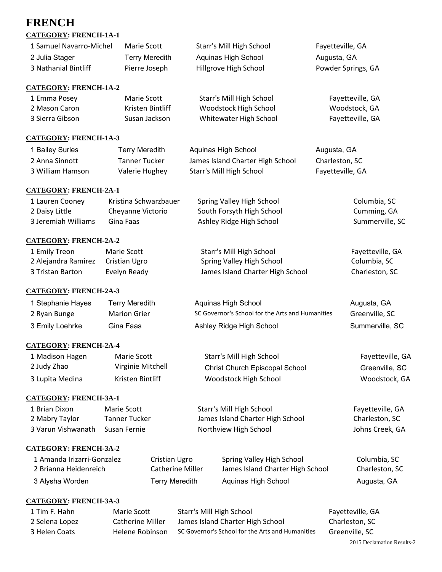# **FRENCH**

| <b>CATEGORY: FRENCH-1A-1</b> |                       |                                                  |                    |
|------------------------------|-----------------------|--------------------------------------------------|--------------------|
| 1 Samuel Navarro-Michel      | Marie Scott           | Starr's Mill High School<br>Fayetteville, GA     |                    |
| 2 Julia Stager               | <b>Terry Meredith</b> | Aquinas High School                              | Augusta, GA        |
| 3 Nathanial Bintliff         | Pierre Joseph         | Hillgrove High School                            | Powder Springs, GA |
| <b>CATEGORY: FRENCH-1A-2</b> |                       |                                                  |                    |
| 1 Emma Posey                 | Marie Scott           | Starr's Mill High School                         | Fayetteville, GA   |
| 2 Mason Caron                | Kristen Bintliff      | Woodstock High School                            | Woodstock, GA      |
| 3 Sierra Gibson              | Susan Jackson         | Whitewater High School                           | Fayetteville, GA   |
| <b>CATEGORY: FRENCH-1A-3</b> |                       |                                                  |                    |
| 1 Bailey Surles              | <b>Terry Meredith</b> | Aquinas High School                              | Augusta, GA        |
| 2 Anna Sinnott               | <b>Tanner Tucker</b>  | James Island Charter High School                 | Charleston, SC     |
| 3 William Hamson             | Valerie Hughey        | Starr's Mill High School                         | Fayetteville, GA   |
| <b>CATEGORY: FRENCH-2A-1</b> |                       |                                                  |                    |
| 1 Lauren Cooney              | Kristina Schwarzbauer | Spring Valley High School                        | Columbia, SC       |
| 2 Daisy Little               | Cheyanne Victorio     | South Forsyth High School                        | Cumming, GA        |
| 3 Jeremiah Williams          | Gina Faas             | Ashley Ridge High School                         | Summerville, SC    |
| <b>CATEGORY: FRENCH-2A-2</b> |                       |                                                  |                    |
| 1 Emily Treon                | Marie Scott           | Starr's Mill High School                         | Fayetteville, GA   |
| 2 Alejandra Ramirez          | Cristian Ugro         | Spring Valley High School                        | Columbia, SC       |
| 3 Tristan Barton             | Evelyn Ready          | James Island Charter High School                 | Charleston, SC     |
| <b>CATEGORY: FRENCH-2A-3</b> |                       |                                                  |                    |
| 1 Stephanie Hayes            | <b>Terry Meredith</b> | Aquinas High School                              | Augusta, GA        |
| 2 Ryan Bunge                 | <b>Marion Grier</b>   | SC Governor's School for the Arts and Humanities | Greenville, SC     |
| 3 Emily Loehrke              | Gina Faas             | Ashley Ridge High School                         | Summerville, SC    |
| <b>CATEGORY: FRENCH-2A-4</b> |                       |                                                  |                    |
| 1 Madison Hagen              | <b>Marie Scott</b>    | Starr's Mill High School                         | Fayetteville, GA   |
| 2 Judy Zhao                  | Virginie Mitchell     | Christ Church Episcopal School                   | Greenville, SC     |
| 3 Lupita Medina              | Kristen Bintliff      | Woodstock High School                            | Woodstock, GA      |
| <b>CATEGORY: FRENCH-3A-1</b> |                       |                                                  |                    |
| 1 Brian Dixon                | Marie Scott           | Starr's Mill High School                         | Fayetteville, GA   |
| 2 Mabry Taylor               | <b>Tanner Tucker</b>  | James Island Charter High School                 | Charleston, SC     |
| 3 Varun Vishwanath           | Susan Fernie          | Northview High School                            | Johns Creek, GA    |
| <b>CATEGORY: FRENCH-3A-2</b> |                       |                                                  |                    |

| 1 Amanda Irizarri-Gonzalez | Cristian Ugro    | Spring Valley High School        | Columbia, SC   |
|----------------------------|------------------|----------------------------------|----------------|
| 2 Brianna Heidenreich      | Catherine Miller | James Island Charter High School | Charleston, SC |
| 3 Alysha Worden            | Terry Meredith   | Aguinas High School              | Augusta, GA    |

### **CATEGORY: FRENCH-3A-3**

| 1 Tim F. Hahn  | Marie Scott      | Starr's Mill High School                         | Fayetteville, GA |
|----------------|------------------|--------------------------------------------------|------------------|
| 2 Selena Lopez | Catherine Miller | James Island Charter High School                 | Charleston. SC   |
| 3 Helen Coats  | Helene Robinson  | SC Governor's School for the Arts and Humanities | Greenville, SC   |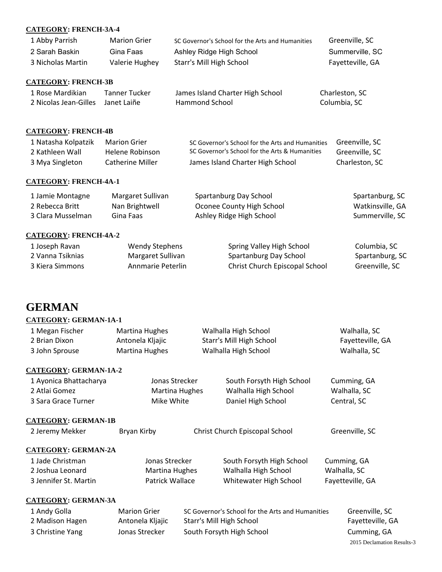### **CATEGORY: FRENCH-3A-4**

| 1 Abby Parrish    | <b>Marion Grier</b> | SC Governor's School for the Arts and Humanities | Greenville, SC   |
|-------------------|---------------------|--------------------------------------------------|------------------|
| 2 Sarah Baskin    | Gina Faas           | Ashley Ridge High School                         | Summerville, SC  |
| 3 Nicholas Martin | Valerie Hughey      | Starr's Mill High School                         | Fayetteville, GA |

### **CATEGORY: FRENCH-3B**

| 1 Rose Mardikian                  | Tanner Tucker | James Island Charter High School | Charleston, SC |
|-----------------------------------|---------------|----------------------------------|----------------|
| 2 Nicolas Jean-Gilles Janet Laiñe |               | Hammond School                   | Columbia, SC   |

### **CATEGORY: FRENCH-4B**

| 1 Natasha Kolpatzik | Marion Grier     | SC Governor's School for the Arts and Humanities | Greenville, SC |
|---------------------|------------------|--------------------------------------------------|----------------|
| 2 Kathleen Wall     | Helene Robinson  | SC Governor's School for the Arts & Humanities   | Greenville, SC |
| 3 Mya Singleton     | Catherine Miller | James Island Charter High School                 | Charleston. SC |

#### **CATEGORY: FRENCH-4A-1**

| 1 Jamie Montagne  | Margaret Sullivan | Spartanburg Day School    | Spartanburg, SC  |
|-------------------|-------------------|---------------------------|------------------|
| 2 Rebecca Britt   | Nan Brightwell    | Oconee County High School | Watkinsville, GA |
| 3 Clara Musselman | Gina Faas         | Ashley Ridge High School  | Summerville, SC  |

### **CATEGORY: FRENCH-4A-2**

| 1 Joseph Ravan   | Wendy Stephens    | Spring Valley High School      | Columbia, SC    |
|------------------|-------------------|--------------------------------|-----------------|
| 2 Vanna Tsiknias | Margaret Sullivan | Spartanburg Day School         | Spartanburg, SC |
| 3 Kiera Simmons  | Annmarie Peterlin | Christ Church Episcopal School | Greenville, SC  |

### **GERMAN**

### **CATEGORY: GERMAN-1A-1**

| 1 Megan Fischer<br>2 Brian Dixon<br>3 John Sprouse | Martina Hughes<br>Antonela Kljajic<br>Martina Hughes | Walhalla High School<br>Starr's Mill High School<br>Walhalla High School | Walhalla, SC<br>Fayetteville, GA<br>Walhalla, SC |
|----------------------------------------------------|------------------------------------------------------|--------------------------------------------------------------------------|--------------------------------------------------|
| <b>CATEGORY: GERMAN-1A-2</b>                       |                                                      |                                                                          |                                                  |
| 1 Ayonica Bhattacharya                             | Jonas Strecker                                       | South Forsyth High School                                                | Cumming, GA                                      |
| 2 Atlai Gomez                                      | Martina Hughes                                       | Walhalla High School                                                     | Walhalla, SC                                     |

3 Sara Grace Turner **Mike White** Daniel High School Central, SC

#### **CATEGORY: GERMAN-1B**

| 2 Jeremy Mekker            | Bryan Kirby         | Christ Church Episcopal School                   | Greenville, SC   |
|----------------------------|---------------------|--------------------------------------------------|------------------|
| <b>CATEGORY: GERMAN-2A</b> |                     |                                                  |                  |
| 1 Jade Christman           | Jonas Strecker      | South Forsyth High School                        | Cumming, GA      |
| 2 Joshua Leonard           | Martina Hughes      | Walhalla High School                             | Walhalla, SC     |
| 3 Jennifer St. Martin      | Patrick Wallace     | Whitewater High School                           | Fayetteville, GA |
| <b>CATEGORY: GERMAN-3A</b> |                     |                                                  |                  |
| 1 Andy Golla               | <b>Marion Grier</b> | SC Governor's School for the Arts and Humanities | Greenville, SC   |

| L Andy Golla     | iviarion Grier   | SC Governor's School for the Arts and Humanities | Greenville, SC             |
|------------------|------------------|--------------------------------------------------|----------------------------|
| 2 Madison Hagen  | Antonela Kljajic | Starr's Mill High School                         | Fayetteville, GA           |
| 3 Christine Yang | Jonas Strecker   | South Forsyth High School                        | Cumming, GA                |
|                  |                  |                                                  | 2015 Declamation Results-3 |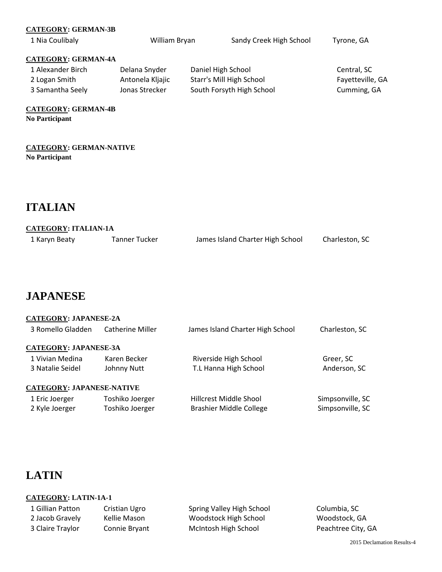| <b>CATEGORY: GERMAN-3B</b>                          |                  |                    |                           |                  |
|-----------------------------------------------------|------------------|--------------------|---------------------------|------------------|
| 1 Nia Coulibaly                                     | William Bryan    |                    | Sandy Creek High School   | Tyrone, GA       |
| <b>CATEGORY: GERMAN-4A</b>                          |                  |                    |                           |                  |
| 1 Alexander Birch                                   | Delana Snyder    | Daniel High School |                           | Central, SC      |
| 2 Logan Smith                                       | Antonela Kljajic |                    | Starr's Mill High School  | Fayetteville, GA |
| 3 Samantha Seely                                    | Jonas Strecker   |                    | South Forsyth High School | Cumming, GA      |
| <b>CATEGORY: GERMAN-4B</b><br><b>No Participant</b> |                  |                    |                           |                  |
|                                                     |                  |                    |                           |                  |

**CATEGORY: GERMAN-NATIVE No Participant** 

### **ITALIAN**

| <b>CATEGORY: ITALIAN-1A</b> |
|-----------------------------|
|                             |

| 1 Karyn Beaty | Tanner Tucker | James Island Charter High School | Charleston, SC |
|---------------|---------------|----------------------------------|----------------|
|               |               |                                  |                |

### **JAPANESE**

| <b>CATEGORY: JAPANESE-2A</b> |                         |                                  |                  |
|------------------------------|-------------------------|----------------------------------|------------------|
| 3 Romello Gladden            | <b>Catherine Miller</b> | James Island Charter High School | Charleston, SC   |
| <b>CATEGORY: JAPANESE-3A</b> |                         |                                  |                  |
| 1 Vivian Medina              | Karen Becker            | Riverside High School            | Greer, SC        |
| 3 Natalie Seidel             | Johnny Nutt             | T.L Hanna High School            | Anderson, SC     |
| CATEGORY: JAPANESE-NATIVE    |                         |                                  |                  |
| 1 Eric Joerger               | Toshiko Joerger         | Hillcrest Middle Shool           | Simpsonville, SC |
| 2 Kyle Joerger               | Toshiko Joerger         | <b>Brashier Middle College</b>   | Simpsonville, SC |

### **LATIN**

### **CATEGORY: LATIN-1A-1**

| 1 Gillian Patton | Cristian Ugro | Spring Valley High School | Columbia, SC       |
|------------------|---------------|---------------------------|--------------------|
| 2 Jacob Gravely  | Kellie Mason  | Woodstock High School     | Woodstock, GA      |
| 3 Claire Traylor | Connie Bryant | McIntosh High School      | Peachtree City, GA |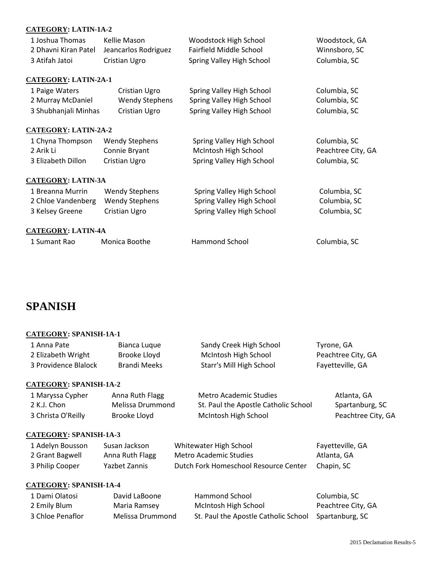### **CATEGORY: LATIN-1A-2**

| 1 Joshua Thomas             | Kellie Mason          | Woodstock High School     | Woodstock, GA      |
|-----------------------------|-----------------------|---------------------------|--------------------|
| 2 Dhavni Kiran Patel        | Jeancarlos Rodriguez  | Fairfield Middle School   | Winnsboro, SC      |
| 3 Atifah Jatoi              | Cristian Ugro         | Spring Valley High School | Columbia, SC       |
| <b>CATEGORY: LATIN-2A-1</b> |                       |                           |                    |
| 1 Paige Waters              | Cristian Ugro         | Spring Valley High School | Columbia, SC       |
| 2 Murray McDaniel           | <b>Wendy Stephens</b> | Spring Valley High School | Columbia, SC       |
| 3 Shubhanjali Minhas        | Cristian Ugro         | Spring Valley High School | Columbia, SC       |
| <b>CATEGORY: LATIN-2A-2</b> |                       |                           |                    |
| 1 Chyna Thompson            | <b>Wendy Stephens</b> | Spring Valley High School | Columbia, SC       |
| 2 Arik Li                   | Connie Bryant         | McIntosh High School      | Peachtree City, GA |
| 3 Elizabeth Dillon          | Cristian Ugro         | Spring Valley High School | Columbia, SC       |
| <b>CATEGORY: LATIN-3A</b>   |                       |                           |                    |
| 1 Breanna Murrin            | <b>Wendy Stephens</b> | Spring Valley High School | Columbia, SC       |
| 2 Chloe Vandenberg          | <b>Wendy Stephens</b> | Spring Valley High School | Columbia, SC       |
| 3 Kelsey Greene             | Cristian Ugro         | Spring Valley High School | Columbia, SC       |
| <b>CATEGORY: LATIN-4A</b>   |                       |                           |                    |
| 1 Sumant Rao                | Monica Boothe         | Hammond School            | Columbia, SC       |

### **SPANISH**

### **CATEGORY: SPANISH-1A-1**

| 1 Anna Pate          | Bianca Luque | Sandy Creek High School  | Tyrone, GA         |
|----------------------|--------------|--------------------------|--------------------|
| 2 Elizabeth Wright   | Brooke Lloyd | McIntosh High School     | Peachtree City, GA |
| 3 Providence Blalock | Brandi Meeks | Starr's Mill High School | Fayetteville, GA   |
|                      |              |                          |                    |

### **CATEGORY: SPANISH-1A-2**

| 1 Maryssa Cypher   | Anna Ruth Flagg  | Metro Academic Studies               | Atlanta, GA        |
|--------------------|------------------|--------------------------------------|--------------------|
| 2 K.J. Chon        | Melissa Drummond | St. Paul the Apostle Catholic School | Spartanburg, SC    |
| 3 Christa O'Reilly | Brooke Lloyd     | McIntosh High School                 | Peachtree City, GA |

### **CATEGORY: SPANISH-1A-3**

| 1 Adelyn Bousson | Susan Jackson   | Whitewater High School                | Fayetteville, GA |
|------------------|-----------------|---------------------------------------|------------------|
| 2 Grant Bagwell  | Anna Ruth Flagg | Metro Academic Studies                | Atlanta, GA      |
| 3 Philip Cooper  | Yazbet Zannis   | Dutch Fork Homeschool Resource Center | Chapin, SC       |

### **CATEGORY: SPANISH-1A-4**

| 1 Dami Olatosi   | David LaBoone    | Hammond School                                       | Columbia. SC       |
|------------------|------------------|------------------------------------------------------|--------------------|
| 2 Emily Blum     | Maria Ramsey     | McIntosh High School                                 | Peachtree City, GA |
| 3 Chloe Penaflor | Melissa Drummond | St. Paul the Apostle Catholic School Spartanburg, SC |                    |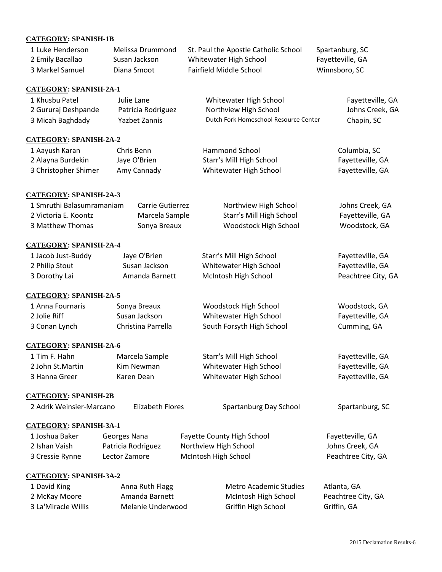### **CATEGORY: SPANISH-1B**

| 1 Luke Henderson | Melissa Drummond | St. Paul the Apostle Catholic School | Spartanburg, SC  |
|------------------|------------------|--------------------------------------|------------------|
| 2 Emily Bacallao | Susan Jackson    | Whitewater High School               | Fayetteville, GA |
| 3 Markel Samuel  | Diana Smoot      | Fairfield Middle School              | Winnsboro, SC    |

#### **CATEGORY: SPANISH-2A-1**

| 1 Khusbu Patel      | Julie Lane         | Whitewater High School                | Fayetteville, GA |
|---------------------|--------------------|---------------------------------------|------------------|
| 2 Gururaj Deshpande | Patricia Rodriguez | Northview High School                 | Johns Creek, GA  |
| 3 Micah Baghdady    | Yazbet Zannis      | Dutch Fork Homeschool Resource Center | Chapin, SC       |

### **CATEGORY: SPANISH-2A-2**

| 1 Aayush Karan       | Chris Benn   | Hammond School           | Columbia, SC     |
|----------------------|--------------|--------------------------|------------------|
| 2 Alayna Burdekin    | Jaye O'Brien | Starr's Mill High School | Fayetteville, GA |
| 3 Christopher Shimer | Amy Cannady  | Whitewater High School   | Fayetteville, GA |

### **CATEGORY: SPANISH-2A-3**

| 1 Smruthi Balasumramaniam | Carrie Gutierrez | Northview High School    | Johns Creek, GA  |
|---------------------------|------------------|--------------------------|------------------|
| 2 Victoria E. Koontz      | Marcela Sample   | Starr's Mill High School | Fayetteville, GA |
| 3 Matthew Thomas          | Sonya Breaux     | Woodstock High School    | Woodstock, GA    |

#### **CATEGORY: SPANISH-2A-4**

| 1 Jacob Just-Buddy | Jaye O'Brien   | Starr's Mill High School | Fayetteville, GA   |
|--------------------|----------------|--------------------------|--------------------|
| 2 Philip Stout     | Susan Jackson  | Whitewater High School   | Fayetteville, GA   |
| 3 Dorothy Lai      | Amanda Barnett | McIntosh High School     | Peachtree City, GA |

#### **CATEGORY: SPANISH-2A-5**

| 1 Anna Fournaris | Sonya Breaux       | <b>Woodstock High School</b> | Woodstock, GA    |
|------------------|--------------------|------------------------------|------------------|
| 2 Jolie Riff     | Susan Jackson      | Whitewater High School       | Fayetteville, GA |
| 3 Conan Lynch    | Christina Parrella | South Forsyth High School    | Cumming, GA      |

### **CATEGORY: SPANISH-2A-6**

| 1 Tim F. Hahn    | Marcela Sample | Starr's Mill High School | Fayetteville, GA |
|------------------|----------------|--------------------------|------------------|
| 2 John St.Martin | Kim Newman     | Whitewater High School   | Fayetteville, GA |
| 3 Hanna Greer    | Karen Dean     | Whitewater High School   | Fayetteville, GA |

#### **CATEGORY: SPANISH-2B**

| 2 Adrik Weinsier-Marcano      | Elizabeth Flores   | Spartanburg Day School            | Spartanburg, SC    |
|-------------------------------|--------------------|-----------------------------------|--------------------|
| <b>CATEGORY: SPANISH-3A-1</b> |                    |                                   |                    |
| 1 Joshua Baker                | Georges Nana       | <b>Fayette County High School</b> | Fayetteville, GA   |
| 2 Ishan Vaish                 | Patricia Rodriguez | Northview High School             | Johns Creek, GA    |
| 3 Cressie Rynne               | Lector Zamore      | McIntosh High School              | Peachtree City, GA |
|                               |                    |                                   |                    |

### **CATEGORY: SPANISH-3A-2**

| 1 David King        | Anna Ruth Flagg   | Metro Academic Studies | Atlanta, GA        |
|---------------------|-------------------|------------------------|--------------------|
| 2 McKay Moore       | Amanda Barnett    | McIntosh High School   | Peachtree City, GA |
| 3 La'Miracle Willis | Melanie Underwood | Griffin High School    | Griffin, GA        |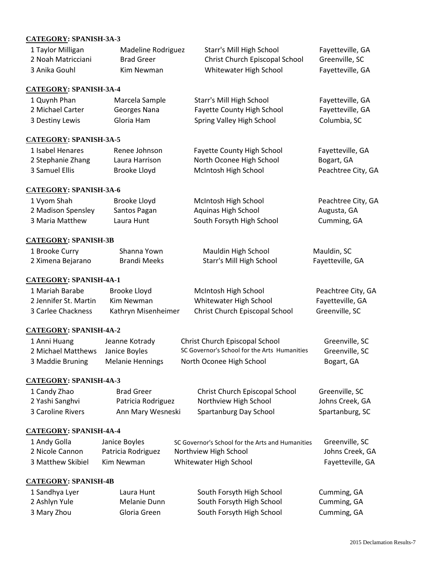### **CATEGORY: SPANISH-3A-3**

| CATEGONI. BI ARIBII-3A-3       |                         |                                                  |                    |
|--------------------------------|-------------------------|--------------------------------------------------|--------------------|
| 1 Taylor Milligan              | Madeline Rodriguez      | Starr's Mill High School                         | Fayetteville, GA   |
| 2 Noah Matricciani             | <b>Brad Greer</b>       | Christ Church Episcopal School                   | Greenville, SC     |
| 3 Anika Gouhl                  | Kim Newman              | Whitewater High School                           | Fayetteville, GA   |
| <u>CATEGORY</u> : SPANISH-3A-4 |                         |                                                  |                    |
| 1 Quynh Phan                   | Marcela Sample          | Starr's Mill High School                         | Fayetteville, GA   |
| 2 Michael Carter               | Georges Nana            | Fayette County High School                       | Fayetteville, GA   |
| 3 Destiny Lewis                | Gloria Ham              | Spring Valley High School                        | Columbia, SC       |
| <b>CATEGORY: SPANISH-3A-5</b>  |                         |                                                  |                    |
| 1 Isabel Henares               | Renee Johnson           | <b>Fayette County High School</b>                | Fayetteville, GA   |
| 2 Stephanie Zhang              | Laura Harrison          | North Oconee High School                         | Bogart, GA         |
| 3 Samuel Ellis                 | Brooke Lloyd            | McIntosh High School                             | Peachtree City, GA |
| <b>CATEGORY: SPANISH-3A-6</b>  |                         |                                                  |                    |
| 1 Vyom Shah                    | Brooke Lloyd            | McIntosh High School                             | Peachtree City, GA |
| 2 Madison Spensley             | Santos Pagan            | Aquinas High School                              | Augusta, GA        |
| 3 Maria Matthew                | Laura Hunt              | South Forsyth High School                        | Cumming, GA        |
| <b>CATEGORY: SPANISH-3B</b>    |                         |                                                  |                    |
| 1 Brooke Curry                 | Shanna Yown             | Mauldin High School                              | Mauldin, SC        |
| 2 Ximena Bejarano              | <b>Brandi Meeks</b>     | Starr's Mill High School                         | Fayetteville, GA   |
| <b>CATEGORY: SPANISH-4A-1</b>  |                         |                                                  |                    |
| 1 Mariah Barabe                | <b>Brooke Lloyd</b>     | McIntosh High School                             | Peachtree City, GA |
| 2 Jennifer St. Martin          | Kim Newman              | Whitewater High School                           | Fayetteville, GA   |
| 3 Carlee Chackness             | Kathryn Misenheimer     | Christ Church Episcopal School                   | Greenville, SC     |
| <b>CATEGORY: SPANISH-4A-2</b>  |                         |                                                  |                    |
| 1 Anni Huang                   | Jeanne Kotrady          | Christ Church Episcopal School                   | Greenville, SC     |
| 2 Michael Matthews             | Janice Boyles           | SC Governor's School for the Arts Humanities     | Greenville, SC     |
| 3 Maddie Bruning               | <b>Melanie Hennings</b> | North Oconee High School                         | Bogart, GA         |
| <b>CATEGORY: SPANISH-4A-3</b>  |                         |                                                  |                    |
| 1 Candy Zhao                   | <b>Brad Greer</b>       | Christ Church Episcopal School                   | Greenville, SC     |
| 2 Yashi Sanghvi                | Patricia Rodriguez      | Northview High School                            | Johns Creek, GA    |
| 3 Caroline Rivers              | Ann Mary Wesneski       | Spartanburg Day School                           | Spartanburg, SC    |
| <b>CATEGORY: SPANISH-4A-4</b>  |                         |                                                  |                    |
| 1 Andy Golla                   | Janice Boyles           | SC Governor's School for the Arts and Humanities | Greenville, SC     |
| 2 Nicole Cannon                | Patricia Rodriguez      | Northview High School                            | Johns Creek, GA    |
| 3 Matthew Skibiel              | Kim Newman              | Whitewater High School                           | Fayetteville, GA   |
| <b>CATEGORY: SPANISH-4B</b>    |                         |                                                  |                    |
| 1 Sandhya Lyer                 | Laura Hunt              | South Forsyth High School                        | Cumming, GA        |
| 2 Ashlyn Yule                  | Melanie Dunn            | South Forsyth High School                        | Cumming, GA        |
| 3 Mary Zhou                    | Gloria Green            | South Forsyth High School                        | Cumming, GA        |
|                                |                         |                                                  |                    |